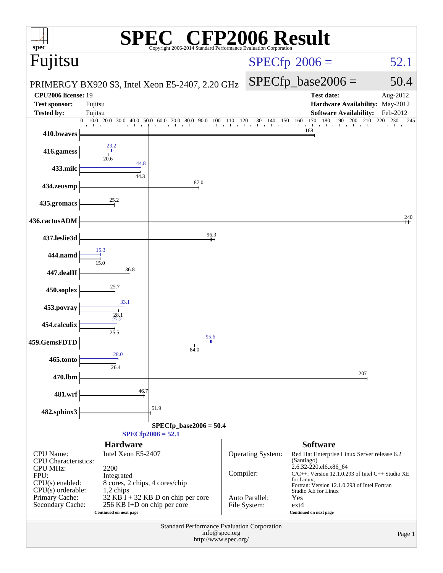| spec <sup>®</sup>                                  |                                                       | <sup>T®</sup> CFP2006 Result<br>Copyright 2006-2014 Standard Performance Evaluation Corporation |                  |                                |                                                                                              |          |
|----------------------------------------------------|-------------------------------------------------------|-------------------------------------------------------------------------------------------------|------------------|--------------------------------|----------------------------------------------------------------------------------------------|----------|
| Fujitsu                                            |                                                       |                                                                                                 |                  |                                | $SPECfp^{\circ}2006 =$                                                                       | 52.1     |
|                                                    |                                                       | PRIMERGY BX920 S3, Intel Xeon E5-2407, 2.20 GHz                                                 |                  |                                | $SPECfp\_base2006 =$                                                                         | 50.4     |
| <b>CPU2006 license: 19</b>                         |                                                       |                                                                                                 |                  |                                | <b>Test date:</b>                                                                            | Aug-2012 |
| <b>Test sponsor:</b>                               | Fujitsu                                               |                                                                                                 |                  |                                | Hardware Availability: May-2012                                                              |          |
| <b>Tested by:</b>                                  | Fujitsu                                               |                                                                                                 |                  |                                | <b>Software Availability:</b>                                                                | Feb-2012 |
| 410.bwaves                                         | 10.0<br>20.0 30.0 40.0 50.0<br>$\overline{0}$         | $60.0$ 70.0 80.0 90.0                                                                           | $100$ 110<br>110 |                                | $\frac{1}{2}$ 120 130 140 150 160 170 180 190 200 210 220 230<br>168                         | 245      |
| 416.gamess                                         | 23.2<br>20.6                                          |                                                                                                 |                  |                                |                                                                                              |          |
| 433.milc                                           | 44.8<br>44.3                                          |                                                                                                 |                  |                                |                                                                                              |          |
| 434.zeusmp                                         |                                                       | 87.0                                                                                            |                  |                                |                                                                                              |          |
| 435.gromacs                                        | 25.2                                                  |                                                                                                 |                  |                                |                                                                                              |          |
| 436.cactusADM                                      |                                                       |                                                                                                 |                  |                                |                                                                                              | 240      |
| 437.leslie3d                                       |                                                       | 96.3                                                                                            |                  |                                |                                                                                              |          |
| 444.namd                                           | 15.3<br>15.0                                          |                                                                                                 |                  |                                |                                                                                              |          |
| 447.dealII                                         | 36.8                                                  |                                                                                                 |                  |                                |                                                                                              |          |
| 450.soplex                                         | 25.7                                                  |                                                                                                 |                  |                                |                                                                                              |          |
| 453.povray                                         | 33.1<br>$\frac{28.1}{27.2}$                           |                                                                                                 |                  |                                |                                                                                              |          |
| 454.calculix                                       | 25.5                                                  | 95.6                                                                                            |                  |                                |                                                                                              |          |
| 459.GemsFDTD                                       | 28.0                                                  | 84.0                                                                                            |                  |                                |                                                                                              |          |
| 465.tonto                                          | 26.4                                                  |                                                                                                 |                  |                                |                                                                                              |          |
| 470.lbm                                            |                                                       |                                                                                                 |                  |                                | 207                                                                                          |          |
| 481.wrf                                            | 46.7                                                  |                                                                                                 |                  |                                |                                                                                              |          |
| 482.sphinx3                                        |                                                       | 151.9                                                                                           |                  |                                |                                                                                              |          |
|                                                    |                                                       | $SPECfp\_base2006 = 50.4$<br>$SPECfp2006 = 52.1$                                                |                  |                                |                                                                                              |          |
|                                                    | <b>Hardware</b>                                       |                                                                                                 |                  |                                | <b>Software</b>                                                                              |          |
| CPU Name:<br><b>CPU</b> Characteristics:           | Intel Xeon E5-2407                                    |                                                                                                 |                  | <b>Operating System:</b>       | Red Hat Enterprise Linux Server release 6.2<br>(Santiago)                                    |          |
| <b>CPU MHz:</b><br>FPU:<br>$CPU(s)$ enabled:       | 2200<br>Integrated<br>8 cores, 2 chips, 4 cores/chip  |                                                                                                 | Compiler:        |                                | 2.6.32-220.el6.x86_64<br>$C/C++$ : Version 12.1.0.293 of Intel $C++$ Studio XE<br>for Linux; |          |
| $CPU(s)$ orderable:                                | 1,2 chips                                             |                                                                                                 |                  |                                | Fortran: Version 12.1.0.293 of Intel Fortran<br>Studio XE for Linux                          |          |
| Primary Cache:<br>Secondary Cache:                 | 256 KB I+D on chip per core<br>Continued on next page | $32$ KB I + 32 KB D on chip per core                                                            |                  | Auto Parallel:<br>File System: | Yes<br>$ext{4}$<br>Continued on next page                                                    |          |
| <b>Standard Performance Evaluation Corporation</b> |                                                       |                                                                                                 |                  |                                |                                                                                              |          |
|                                                    |                                                       | http://www.spec.org/                                                                            | info@spec.org    |                                |                                                                                              | Page 1   |
|                                                    |                                                       |                                                                                                 |                  |                                |                                                                                              |          |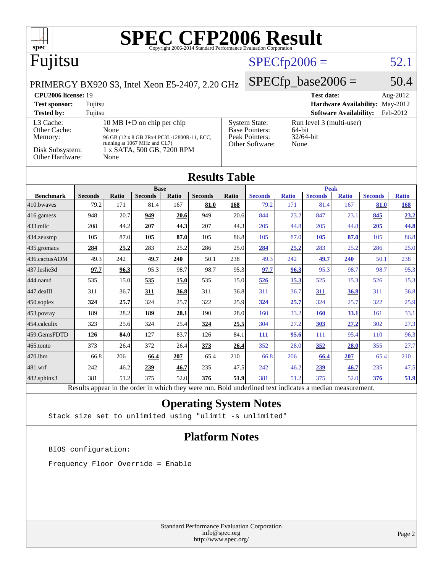| $spec^*$                                                                                                                                                                                                                                                                                                                                                                                          |                    |       |                               |              | <b>SPEC CFP2006 Result</b><br>Copyright 2006-2014 Standard Performance Evaluation Corporation            |       |                |                      |                               |                               |                                 |                      |
|---------------------------------------------------------------------------------------------------------------------------------------------------------------------------------------------------------------------------------------------------------------------------------------------------------------------------------------------------------------------------------------------------|--------------------|-------|-------------------------------|--------------|----------------------------------------------------------------------------------------------------------|-------|----------------|----------------------|-------------------------------|-------------------------------|---------------------------------|----------------------|
| Fujitsu                                                                                                                                                                                                                                                                                                                                                                                           |                    |       |                               |              |                                                                                                          |       | $SPECfp2006 =$ |                      |                               |                               | 52.1                            |                      |
| PRIMERGY BX920 S3, Intel Xeon E5-2407, 2.20 GHz                                                                                                                                                                                                                                                                                                                                                   |                    |       |                               |              |                                                                                                          |       |                | $SPECfp\_base2006 =$ |                               |                               | 50.4                            |                      |
| <b>CPU2006 license: 19</b><br><b>Test sponsor:</b><br><b>Tested by:</b>                                                                                                                                                                                                                                                                                                                           | Fujitsu<br>Fujitsu |       |                               |              |                                                                                                          |       |                |                      | <b>Test date:</b>             | <b>Software Availability:</b> | Hardware Availability: May-2012 | Aug-2012<br>Feb-2012 |
| 10 MB I+D on chip per chip<br>L <sub>3</sub> Cache:<br><b>System State:</b><br>Run level 3 (multi-user)<br><b>Base Pointers:</b><br>Other Cache:<br>None<br>64-bit<br>Peak Pointers:<br>32/64-bit<br>Memory:<br>96 GB (12 x 8 GB 2Rx4 PC3L-12800R-11, ECC,<br>running at 1067 MHz and CL7)<br>Other Software:<br>None<br>Disk Subsystem:<br>1 x SATA, 500 GB, 7200 RPM<br>Other Hardware:<br>None |                    |       |                               |              |                                                                                                          |       |                |                      |                               |                               |                                 |                      |
| <b>Results Table</b>                                                                                                                                                                                                                                                                                                                                                                              |                    |       |                               |              |                                                                                                          |       |                |                      |                               |                               |                                 |                      |
| <b>Benchmark</b>                                                                                                                                                                                                                                                                                                                                                                                  | <b>Seconds</b>     | Ratio | <b>Base</b><br><b>Seconds</b> | <b>Ratio</b> | <b>Seconds</b>                                                                                           | Ratio | <b>Seconds</b> | <b>Ratio</b>         | <b>Peak</b><br><b>Seconds</b> | <b>Ratio</b>                  | <b>Seconds</b>                  | <b>Ratio</b>         |
| 410.bwayes                                                                                                                                                                                                                                                                                                                                                                                        | 79.2               | 171   | 81.4                          | 167          | 81.0                                                                                                     | 168   | 79.2           | 171                  | 81.4                          | 167                           | 81.0                            | 168                  |
| 416.gamess                                                                                                                                                                                                                                                                                                                                                                                        | 948                | 20.7  | 949                           | 20.6         | 949                                                                                                      | 20.6  | 844            | 23.2                 | 847                           | 23.1                          | 845                             | 23.2                 |
| 433.milc                                                                                                                                                                                                                                                                                                                                                                                          | 208                | 44.2  | 207                           | 44.3         | 207                                                                                                      | 44.3  | 205            | 44.8                 | 205                           | 44.8                          | 205                             | 44.8                 |
| 434.zeusmp                                                                                                                                                                                                                                                                                                                                                                                        | 105                | 87.0  | 105                           | 87.0         | 105                                                                                                      | 86.8  | 105            | 87.0                 | 105                           | 87.0                          | 105                             | 86.8                 |
| 435.gromacs                                                                                                                                                                                                                                                                                                                                                                                       | 284                | 25.2  | 283                           | 25.2         | 286                                                                                                      | 25.0  | 284            | 25,2                 | 283                           | 25.2                          | 286                             | 25.0                 |
| 436.cactusADM                                                                                                                                                                                                                                                                                                                                                                                     | 49.3               | 242   | 49.7                          | 240          | 50.1                                                                                                     | 238   | 49.3           | 242                  | 49.7                          | <b>240</b>                    | 50.1                            | 238                  |
| 437.leslie3d                                                                                                                                                                                                                                                                                                                                                                                      | 97.7               | 96.3  | 95.3                          | 98.7         | 98.7                                                                                                     | 95.3  | 97.7           | 96.3                 | 95.3                          | 98.7                          | 98.7                            | 95.3                 |
| 444.namd                                                                                                                                                                                                                                                                                                                                                                                          | 535                | 15.0  | 535                           | <b>15.0</b>  | 535                                                                                                      | 15.0  | 526            | 15.3                 | 525                           | 15.3                          | 526                             | 15.3                 |
| 447.dealII                                                                                                                                                                                                                                                                                                                                                                                        | 311                | 36.7  | 311                           | 36.8         | 311                                                                                                      | 36.8  | 311            | 36.7                 | 311                           | 36.8                          | 311                             | 36.8                 |
| $450$ .soplex                                                                                                                                                                                                                                                                                                                                                                                     | 324                | 25.7  | 324                           | 25.7         | 322                                                                                                      | 25.9  | 324            | 25.7                 | 324                           | 25.7                          | 322                             | 25.9                 |
| 453.povray                                                                                                                                                                                                                                                                                                                                                                                        | 189                | 28.2  | <u>189</u>                    | 28.1         | 190                                                                                                      | 28.0  | 160            | 33.2                 | <b>160</b>                    | 33.1                          | 161                             | 33.1                 |
| 454.calculix                                                                                                                                                                                                                                                                                                                                                                                      | 323                | 25.6  | 324                           | 25.4         | 324                                                                                                      | 25.5  | 304            | 27.2                 | 303                           | 27.2                          | 302                             | 27.3                 |
| 459.GemsFDTD                                                                                                                                                                                                                                                                                                                                                                                      | 126                | 84.0  | 127                           | 83.7         | 126                                                                                                      | 84.1  | 111            | 95.6                 | 111                           | 95.4                          | 110                             | 96.3                 |
| 465.tonto                                                                                                                                                                                                                                                                                                                                                                                         | 373                | 26.4  | 372                           | 26.4         | 373                                                                                                      | 26.4  | 352            | 28.0                 | 352                           | 28.0                          | 355                             | 27.7                 |
| 470.1bm                                                                                                                                                                                                                                                                                                                                                                                           | 66.8               | 206   | 66.4                          | 207          | 65.4                                                                                                     | 210   | 66.8           | 206                  | 66.4                          | 207                           | 65.4                            | 210                  |
| 481.wrf                                                                                                                                                                                                                                                                                                                                                                                           | 242                | 46.2  | 239                           | 46.7         | 235                                                                                                      | 47.5  | 242            | 46.2                 | 239                           | 46.7                          | 235                             | 47.5                 |
| 482.sphinx3                                                                                                                                                                                                                                                                                                                                                                                       | 381                | 51.2  | 375                           | 52.0         | 376                                                                                                      | 51.9  | 381            | 51.2                 | 375                           | 52.0                          | 376                             | 51.9                 |
|                                                                                                                                                                                                                                                                                                                                                                                                   |                    |       |                               |              | Results appear in the order in which they were run. Bold underlined text indicates a median measurement. |       |                |                      |                               |                               |                                 |                      |

### **[Operating System Notes](http://www.spec.org/auto/cpu2006/Docs/result-fields.html#OperatingSystemNotes)**

Stack size set to unlimited using "ulimit -s unlimited"

### **[Platform Notes](http://www.spec.org/auto/cpu2006/Docs/result-fields.html#PlatformNotes)**

BIOS configuration:

Frequency Floor Override = Enable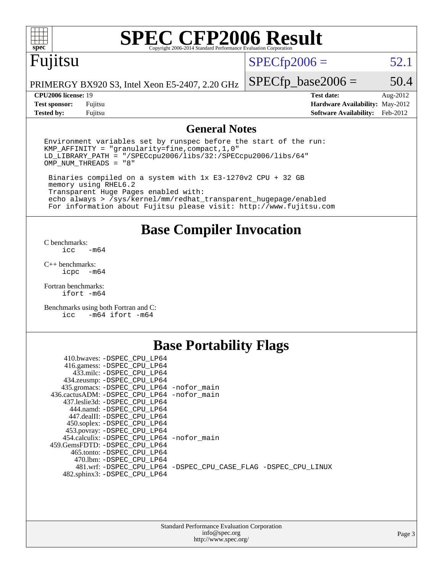

# **[SPEC CFP2006 Result](http://www.spec.org/auto/cpu2006/Docs/result-fields.html#SPECCFP2006Result)**

# Fujitsu

### $SPECTp2006 = 52.1$

PRIMERGY BX920 S3, Intel Xeon E5-2407, 2.20 GHz

**[Test sponsor:](http://www.spec.org/auto/cpu2006/Docs/result-fields.html#Testsponsor)** Fujitsu **[Hardware Availability:](http://www.spec.org/auto/cpu2006/Docs/result-fields.html#HardwareAvailability)** May-2012 **[Tested by:](http://www.spec.org/auto/cpu2006/Docs/result-fields.html#Testedby)** Fujitsu **[Software Availability:](http://www.spec.org/auto/cpu2006/Docs/result-fields.html#SoftwareAvailability)** Feb-2012

 $SPECfp\_base2006 = 50.4$ **[CPU2006 license:](http://www.spec.org/auto/cpu2006/Docs/result-fields.html#CPU2006license)** 19 **[Test date:](http://www.spec.org/auto/cpu2006/Docs/result-fields.html#Testdate)** Aug-2012

#### **[General Notes](http://www.spec.org/auto/cpu2006/Docs/result-fields.html#GeneralNotes)**

Environment variables set by runspec before the start of the run: KMP\_AFFINITY = "granularity=fine,compact,1,0" LD\_LIBRARY\_PATH = "/SPECcpu2006/libs/32:/SPECcpu2006/libs/64" OMP\_NUM\_THREADS = "8"

 Binaries compiled on a system with 1x E3-1270v2 CPU + 32 GB memory using RHEL6.2 Transparent Huge Pages enabled with: echo always > /sys/kernel/mm/redhat\_transparent\_hugepage/enabled For information about Fujitsu please visit: <http://www.fujitsu.com>

#### **[Base Compiler Invocation](http://www.spec.org/auto/cpu2006/Docs/result-fields.html#BaseCompilerInvocation)**

[C benchmarks](http://www.spec.org/auto/cpu2006/Docs/result-fields.html#Cbenchmarks):  $-m64$ 

[C++ benchmarks:](http://www.spec.org/auto/cpu2006/Docs/result-fields.html#CXXbenchmarks) [icpc -m64](http://www.spec.org/cpu2006/results/res2012q3/cpu2006-20120823-24289.flags.html#user_CXXbase_intel_icpc_64bit_bedb90c1146cab66620883ef4f41a67e)

[Fortran benchmarks](http://www.spec.org/auto/cpu2006/Docs/result-fields.html#Fortranbenchmarks): [ifort -m64](http://www.spec.org/cpu2006/results/res2012q3/cpu2006-20120823-24289.flags.html#user_FCbase_intel_ifort_64bit_ee9d0fb25645d0210d97eb0527dcc06e)

[Benchmarks using both Fortran and C](http://www.spec.org/auto/cpu2006/Docs/result-fields.html#BenchmarksusingbothFortranandC): [icc -m64](http://www.spec.org/cpu2006/results/res2012q3/cpu2006-20120823-24289.flags.html#user_CC_FCbase_intel_icc_64bit_0b7121f5ab7cfabee23d88897260401c) [ifort -m64](http://www.spec.org/cpu2006/results/res2012q3/cpu2006-20120823-24289.flags.html#user_CC_FCbase_intel_ifort_64bit_ee9d0fb25645d0210d97eb0527dcc06e)

#### **[Base Portability Flags](http://www.spec.org/auto/cpu2006/Docs/result-fields.html#BasePortabilityFlags)**

| 410.bwaves: -DSPEC CPU LP64<br>416.gamess: -DSPEC_CPU_LP64<br>433.milc: -DSPEC CPU LP64 |                                                                |
|-----------------------------------------------------------------------------------------|----------------------------------------------------------------|
| 434.zeusmp: -DSPEC_CPU_LP64                                                             |                                                                |
| 435.gromacs: -DSPEC_CPU_LP64 -nofor_main                                                |                                                                |
| 436.cactusADM: - DSPEC CPU LP64 - nofor main                                            |                                                                |
| 437.leslie3d: -DSPEC CPU LP64                                                           |                                                                |
| 444.namd: - DSPEC CPU LP64                                                              |                                                                |
| 447.dealII: -DSPEC_CPU_LP64                                                             |                                                                |
| 450.soplex: -DSPEC_CPU_LP64                                                             |                                                                |
| 453.povray: -DSPEC_CPU_LP64                                                             |                                                                |
| 454.calculix: -DSPEC CPU LP64 -nofor main                                               |                                                                |
| 459.GemsFDTD: -DSPEC CPU LP64                                                           |                                                                |
| 465.tonto: - DSPEC CPU LP64                                                             |                                                                |
| 470.1bm: - DSPEC CPU LP64                                                               |                                                                |
|                                                                                         | 481.wrf: -DSPEC CPU_LP64 -DSPEC_CPU_CASE_FLAG -DSPEC_CPU_LINUX |
| 482.sphinx3: -DSPEC_CPU_LP64                                                            |                                                                |
|                                                                                         |                                                                |

| <b>Standard Performance Evaluation Corporation</b> |
|----------------------------------------------------|
| info@spec.org                                      |
| http://www.spec.org/                               |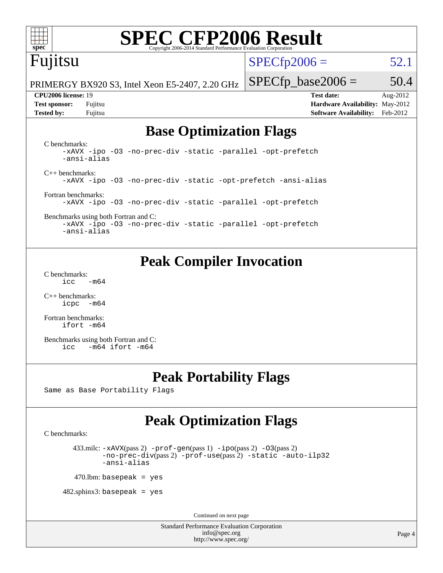

# **[SPEC CFP2006 Result](http://www.spec.org/auto/cpu2006/Docs/result-fields.html#SPECCFP2006Result)**

# Fujitsu

 $SPECTp2006 = 52.1$ 

PRIMERGY BX920 S3, Intel Xeon E5-2407, 2.20 GHz

**[Test sponsor:](http://www.spec.org/auto/cpu2006/Docs/result-fields.html#Testsponsor)** Fujitsu **[Hardware Availability:](http://www.spec.org/auto/cpu2006/Docs/result-fields.html#HardwareAvailability)** May-2012 **[Tested by:](http://www.spec.org/auto/cpu2006/Docs/result-fields.html#Testedby)** Fujitsu **[Software Availability:](http://www.spec.org/auto/cpu2006/Docs/result-fields.html#SoftwareAvailability)** Feb-2012

 $SPECfp\_base2006 = 50.4$ **[CPU2006 license:](http://www.spec.org/auto/cpu2006/Docs/result-fields.html#CPU2006license)** 19 **[Test date:](http://www.spec.org/auto/cpu2006/Docs/result-fields.html#Testdate)** Aug-2012

# **[Base Optimization Flags](http://www.spec.org/auto/cpu2006/Docs/result-fields.html#BaseOptimizationFlags)**

[C benchmarks](http://www.spec.org/auto/cpu2006/Docs/result-fields.html#Cbenchmarks): [-xAVX](http://www.spec.org/cpu2006/results/res2012q3/cpu2006-20120823-24289.flags.html#user_CCbase_f-xAVX) [-ipo](http://www.spec.org/cpu2006/results/res2012q3/cpu2006-20120823-24289.flags.html#user_CCbase_f-ipo) [-O3](http://www.spec.org/cpu2006/results/res2012q3/cpu2006-20120823-24289.flags.html#user_CCbase_f-O3) [-no-prec-div](http://www.spec.org/cpu2006/results/res2012q3/cpu2006-20120823-24289.flags.html#user_CCbase_f-no-prec-div) [-static](http://www.spec.org/cpu2006/results/res2012q3/cpu2006-20120823-24289.flags.html#user_CCbase_f-static) [-parallel](http://www.spec.org/cpu2006/results/res2012q3/cpu2006-20120823-24289.flags.html#user_CCbase_f-parallel) [-opt-prefetch](http://www.spec.org/cpu2006/results/res2012q3/cpu2006-20120823-24289.flags.html#user_CCbase_f-opt-prefetch) [-ansi-alias](http://www.spec.org/cpu2006/results/res2012q3/cpu2006-20120823-24289.flags.html#user_CCbase_f-ansi-alias) [C++ benchmarks:](http://www.spec.org/auto/cpu2006/Docs/result-fields.html#CXXbenchmarks) [-xAVX](http://www.spec.org/cpu2006/results/res2012q3/cpu2006-20120823-24289.flags.html#user_CXXbase_f-xAVX) [-ipo](http://www.spec.org/cpu2006/results/res2012q3/cpu2006-20120823-24289.flags.html#user_CXXbase_f-ipo) [-O3](http://www.spec.org/cpu2006/results/res2012q3/cpu2006-20120823-24289.flags.html#user_CXXbase_f-O3) [-no-prec-div](http://www.spec.org/cpu2006/results/res2012q3/cpu2006-20120823-24289.flags.html#user_CXXbase_f-no-prec-div) [-static](http://www.spec.org/cpu2006/results/res2012q3/cpu2006-20120823-24289.flags.html#user_CXXbase_f-static) [-opt-prefetch](http://www.spec.org/cpu2006/results/res2012q3/cpu2006-20120823-24289.flags.html#user_CXXbase_f-opt-prefetch) [-ansi-alias](http://www.spec.org/cpu2006/results/res2012q3/cpu2006-20120823-24289.flags.html#user_CXXbase_f-ansi-alias) [Fortran benchmarks](http://www.spec.org/auto/cpu2006/Docs/result-fields.html#Fortranbenchmarks): [-xAVX](http://www.spec.org/cpu2006/results/res2012q3/cpu2006-20120823-24289.flags.html#user_FCbase_f-xAVX) [-ipo](http://www.spec.org/cpu2006/results/res2012q3/cpu2006-20120823-24289.flags.html#user_FCbase_f-ipo) [-O3](http://www.spec.org/cpu2006/results/res2012q3/cpu2006-20120823-24289.flags.html#user_FCbase_f-O3) [-no-prec-div](http://www.spec.org/cpu2006/results/res2012q3/cpu2006-20120823-24289.flags.html#user_FCbase_f-no-prec-div) [-static](http://www.spec.org/cpu2006/results/res2012q3/cpu2006-20120823-24289.flags.html#user_FCbase_f-static) [-parallel](http://www.spec.org/cpu2006/results/res2012q3/cpu2006-20120823-24289.flags.html#user_FCbase_f-parallel) [-opt-prefetch](http://www.spec.org/cpu2006/results/res2012q3/cpu2006-20120823-24289.flags.html#user_FCbase_f-opt-prefetch) [Benchmarks using both Fortran and C](http://www.spec.org/auto/cpu2006/Docs/result-fields.html#BenchmarksusingbothFortranandC):

[-xAVX](http://www.spec.org/cpu2006/results/res2012q3/cpu2006-20120823-24289.flags.html#user_CC_FCbase_f-xAVX) [-ipo](http://www.spec.org/cpu2006/results/res2012q3/cpu2006-20120823-24289.flags.html#user_CC_FCbase_f-ipo) [-O3](http://www.spec.org/cpu2006/results/res2012q3/cpu2006-20120823-24289.flags.html#user_CC_FCbase_f-O3) [-no-prec-div](http://www.spec.org/cpu2006/results/res2012q3/cpu2006-20120823-24289.flags.html#user_CC_FCbase_f-no-prec-div) [-static](http://www.spec.org/cpu2006/results/res2012q3/cpu2006-20120823-24289.flags.html#user_CC_FCbase_f-static) [-parallel](http://www.spec.org/cpu2006/results/res2012q3/cpu2006-20120823-24289.flags.html#user_CC_FCbase_f-parallel) [-opt-prefetch](http://www.spec.org/cpu2006/results/res2012q3/cpu2006-20120823-24289.flags.html#user_CC_FCbase_f-opt-prefetch) [-ansi-alias](http://www.spec.org/cpu2006/results/res2012q3/cpu2006-20120823-24289.flags.html#user_CC_FCbase_f-ansi-alias)

## **[Peak Compiler Invocation](http://www.spec.org/auto/cpu2006/Docs/result-fields.html#PeakCompilerInvocation)**

[C benchmarks](http://www.spec.org/auto/cpu2006/Docs/result-fields.html#Cbenchmarks):  $\text{icc}$  -m64

[C++ benchmarks:](http://www.spec.org/auto/cpu2006/Docs/result-fields.html#CXXbenchmarks) [icpc -m64](http://www.spec.org/cpu2006/results/res2012q3/cpu2006-20120823-24289.flags.html#user_CXXpeak_intel_icpc_64bit_bedb90c1146cab66620883ef4f41a67e)

[Fortran benchmarks](http://www.spec.org/auto/cpu2006/Docs/result-fields.html#Fortranbenchmarks): [ifort -m64](http://www.spec.org/cpu2006/results/res2012q3/cpu2006-20120823-24289.flags.html#user_FCpeak_intel_ifort_64bit_ee9d0fb25645d0210d97eb0527dcc06e)

[Benchmarks using both Fortran and C](http://www.spec.org/auto/cpu2006/Docs/result-fields.html#BenchmarksusingbothFortranandC): [icc -m64](http://www.spec.org/cpu2006/results/res2012q3/cpu2006-20120823-24289.flags.html#user_CC_FCpeak_intel_icc_64bit_0b7121f5ab7cfabee23d88897260401c) [ifort -m64](http://www.spec.org/cpu2006/results/res2012q3/cpu2006-20120823-24289.flags.html#user_CC_FCpeak_intel_ifort_64bit_ee9d0fb25645d0210d97eb0527dcc06e)

## **[Peak Portability Flags](http://www.spec.org/auto/cpu2006/Docs/result-fields.html#PeakPortabilityFlags)**

Same as Base Portability Flags

# **[Peak Optimization Flags](http://www.spec.org/auto/cpu2006/Docs/result-fields.html#PeakOptimizationFlags)**

[C benchmarks](http://www.spec.org/auto/cpu2006/Docs/result-fields.html#Cbenchmarks):

433.milc:  $-x$ AVX(pass 2)  $-p$ rof-gen(pass 1)  $-p$ po(pass 2)  $-03$ (pass 2) [-no-prec-div](http://www.spec.org/cpu2006/results/res2012q3/cpu2006-20120823-24289.flags.html#user_peakPASS2_CFLAGSPASS2_LDFLAGS433_milc_f-no-prec-div)(pass 2) [-prof-use](http://www.spec.org/cpu2006/results/res2012q3/cpu2006-20120823-24289.flags.html#user_peakPASS2_CFLAGSPASS2_LDFLAGS433_milc_prof_use_bccf7792157ff70d64e32fe3e1250b55)(pass 2) [-static](http://www.spec.org/cpu2006/results/res2012q3/cpu2006-20120823-24289.flags.html#user_peakOPTIMIZE433_milc_f-static) [-auto-ilp32](http://www.spec.org/cpu2006/results/res2012q3/cpu2006-20120823-24289.flags.html#user_peakCOPTIMIZE433_milc_f-auto-ilp32) [-ansi-alias](http://www.spec.org/cpu2006/results/res2012q3/cpu2006-20120823-24289.flags.html#user_peakCOPTIMIZE433_milc_f-ansi-alias)

 $470$ .lbm: basepeak = yes

 $482$ .sphinx3: basepeak = yes

Continued on next page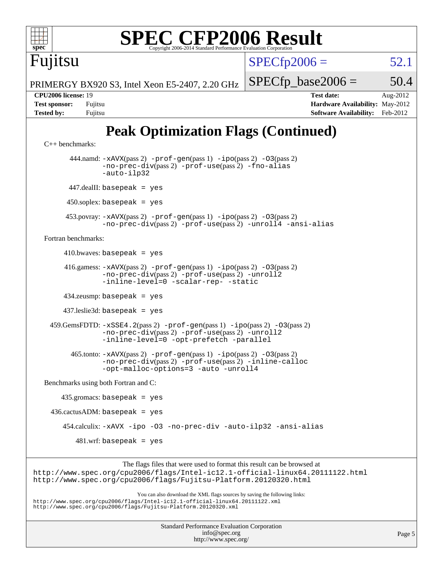

```
C++ benchmarks: 
        444.namd: -xAVX(pass 2) -prof-gen(pass 1) -ipo(pass 2) -O3(pass 2)
                -no-prec-div(pass 2) -prof-use(pass 2) -fno-alias
                -auto-ilp32
       447.dealII: basepeak = yes
       450.soplex: basepeak = yes
      453.povray: -xAVX(pass 2) -prof-gen(pass 1) -ipo(pass 2) -O3(pass 2)
               -no-prec-div(pass 2) -prof-use(pass 2) -unroll4 -ansi-alias
Fortran benchmarks: 
     410.bwaves: basepeak = yes 416.gamess: -xAVX(pass 2) -prof-gen(pass 1) -ipo(pass 2) -O3(pass 2)
                -no-prec-div(pass 2) -prof-use(pass 2) -unroll2
                -inline-level=0 -scalar-rep- -static
      434.zeusmp: basepeak = yes
      437.leslie3d: basepeak = yes
  459.GemsFDTD: -xSSE4.2(pass 2) -prof-gen(pass 1) -ipo(pass 2) -O3(pass 2)
                -no-prec-div(pass 2) -prof-use(pass 2) -unroll2
                -inline-level=0 -opt-prefetch -parallel
        465.tonto: -xAVX(pass 2) -prof-gen(pass 1) -ipo(pass 2) -O3(pass 2)
               -no-prec-div(pass 2) -prof-use(pass 2) -inline-calloc
                -opt-malloc-options=3-auto-unroll4
Benchmarks using both Fortran and C: 
     435.gromacs: basepeak = yes
 436.cactusADM: basepeak = yes 454.calculix: -xAVX -ipo -O3 -no-prec-div -auto-ilp32 -ansi-alias
        481.wrf: basepeak = yes
```
The flags files that were used to format this result can be browsed at <http://www.spec.org/cpu2006/flags/Intel-ic12.1-official-linux64.20111122.html> <http://www.spec.org/cpu2006/flags/Fujitsu-Platform.20120320.html>

You can also download the XML flags sources by saving the following links: <http://www.spec.org/cpu2006/flags/Intel-ic12.1-official-linux64.20111122.xml> <http://www.spec.org/cpu2006/flags/Fujitsu-Platform.20120320.xml>